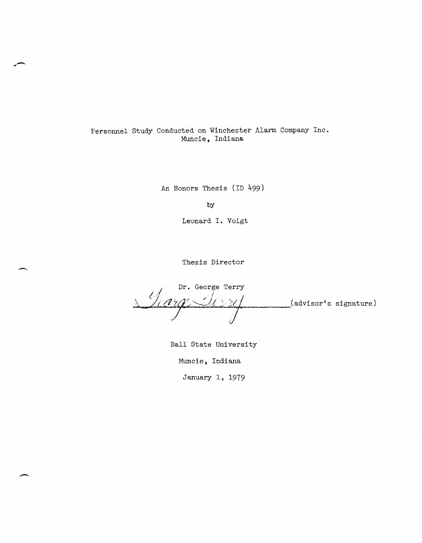# Personnel Study Conducted on Winchester Alarm Company Inc. Muncie, Indiana

An Honors Thesis (ID 499)

by

Leonard I. Voigt

Thesis Director

-

Dr. George Terry <u>( Icera Ierri)</u>  $($ advisor's signature)

Ball State University

Muncie, Indiana

January 1, 1979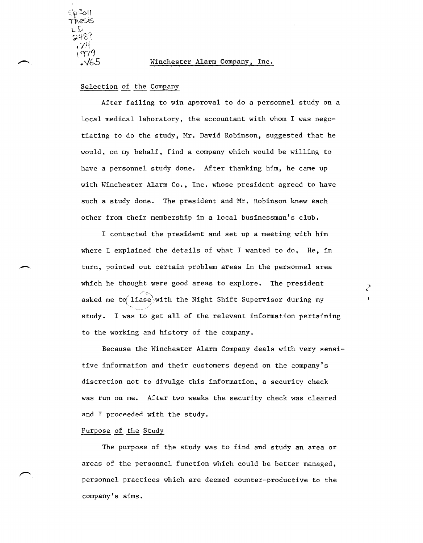്ച് $\parallel$  $\gamma\gamma\gamma$ . V65

#### Winchester Alarm Company, Inc.

### Selection of the Company

After failing to win approval to do a personnel study on a local medical laboratory, the accountant with whom I was negotiating to do the study, Mr. David Robinson, suggested that he would, on my behalf, find a company which would be willing to have a personnel study done. After thanking him, he came up with Winchester Alarm Co., Inc. whose president agreed to have such a study done. The president and Mr. Robinson knew each other from their membership in a local businessman's club.

I contacted the president and set up a meeting with him where I explained the details of what I wanted to do. He, in turn, pointed out certain problem areas in the personnel area which he thought were good areas to explore. The president asked me to liase with the Night Shift Supervisor during my ~, ' study. I was to get all of the relevant information pertaining to the working and history of the company.

) <

Because the Winchester Alarm Company deals with very sensitive information and their customers depend on the company's discretion not to divulge this information, a security check was run on me. After two weeks the security check was cleared and I proceeded with the study.

#### Purpose of the Study

The purpose of the study was to find and study an area or areas of the personnel function which could be better managed, personnel practices which are deemed counter-productive to the company's aims.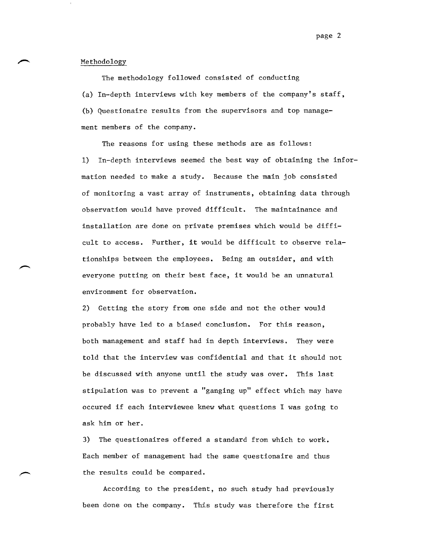page 2

#### Methodology

The methodology followed consisted of conducting (a) In-depth interviews with key members of the company's staff, (b) Questionaire results from the supervisors and top management members of the company.

The reasons for using these methods are as follows: 1) In-depth interviews seemed the best way of obtaining the information needed to make a study. Because the main job consisted of monitoring a vast array of instruments, obtaining data through observation would have proved difficult. The maintainance and installation are done on private premises which would be difficult to access. Further, it would be difficult to observe relationships between the employees. Being an outsider, and with everyone putting on their best face, it would be an unnatural environment for observation.

2) Getting the story from one side and not the other would probably have led to a biased conclusion. For this reason, both management and staff had in depth interviews. They were told that the interview was confidential and that it should not be discussed with anyone until the study was over. This last stipulation was to prevent a "ganging up" effect which may have occured if each interviewee knew what questions I was going to ask him or her.

3) The questionaires offered a standard from which to work. Each member of management had the same questionaire and thus the results could be compared.

According to the president, no such study had previously been done on the company. This study was therefore the first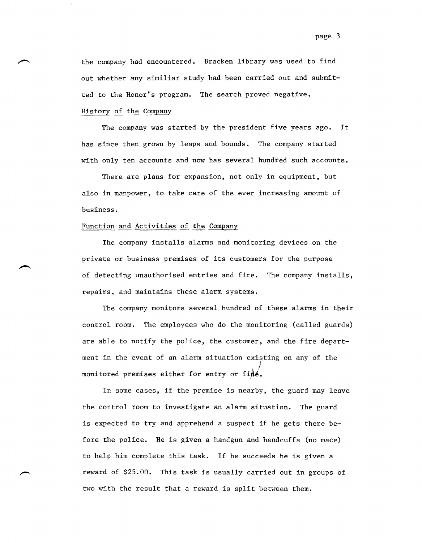the company had encountered. Bracken library was used to find out whether any similiar study had been carried out and submitted to the Honor's program. The search proved negative.

# History of the Company

The company was started by the president five years ago. It has since then grown by leaps and bounds. The company started with only ten accounts and now has several hundred such accounts.

There are plans for expansion, not only in equipment, but also in manpower, to take care of the ever increasing amount of business.

#### Function and Activities of the Company

The company installs alarms and monitoring devices on the private or business premises of its customers for the purpose of detecting unauthorised entries and fire. The company installs, repairs, and maintains these alarm systems.

The company monitors several hundred of these alarms in their control room. The employees who do the monitoring (called guards) are able to notify the police, the customer, and the fire department in the event of an alarm situation existing on any of the , ) monitored premises either for entry or fi $\mathring{\#}$ é.

In some cases, if the premise is nearby, the guard may leave the control room to investigate an alarm situation. The guard is expected to try and apprehend a suspect if he gets there before the police. He is given a handgun and handcuffs (no mace) to help him complete this task. If he succeeds he is given a reward of \$25.00. This task is usually carried out in groups of two with the result that a reward is split between them.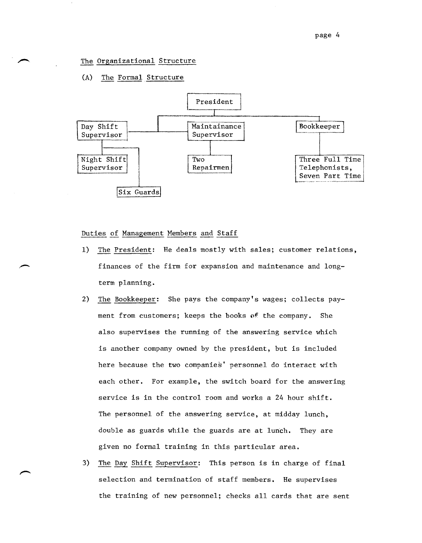# The Organizational Structure

# (A) The Formal Structure



#### Duties of Management Members and Staff

- 1) The President: He deals mostly with sales; customer relations, finances of the firm for expansion and maintenance and longterm planning.
- 2) The Bookkeeper: She pays the company's wages; collects payment from customers; keeps the books of the company. She also supervises the running of the answering service which is another company owned by the president, but is included here because the two companies' personnel do interact with each other. For example, the switch board for the answering service is in the control room and works a 24 hour shift. The personnel of the answering service, at midday lunch, double as guards while the guards are at lunch. They are given no formal training in this particular area.
- 3) The Day Shift Supervisor: This person is in charge of final selection and termination of staff members. He supervises the training of new personnel; checks all cards that are sent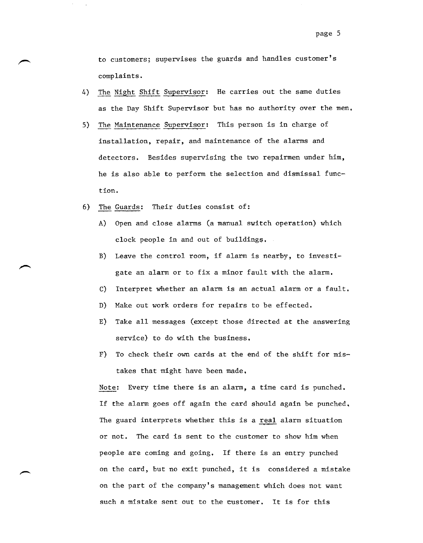to customers; supervises the guards and handles customer's complaints.

- 4) The Night Shift Supervisor: He carries out the same duties as the Day Shift Supervisor but has no authority over the men.
- 5) The Maintenance Supervisor: This person is in charge of installation, repair, and maintenance of the alarms and detectors. Besides supervising the two repairmen under him, he is also able to perform the selection and dismissal function.
- 6) The Guards: Their duties consist of:
	- A) Open and close alarms (a manual switch operation) which clock people in and out of buildings.
	- B) Leave the control room, if alarm is nearby, to investigate an alarm or to fix a minor fault with the alarm.
	- C) Interpret whether an alarm is an actual alarm or a fault.
	- D) Make out work orders for repairs to be effected.
	- E) Take all messages (except those directed at the answering service) to do with the business.
	- F) To check their own cards at the end of the shift for mistakes that might have been made.

Note: Every time there is an alarm, a time card is punched. If the alarm goes off again the card should again be punched. The guard interprets whether this is a real alarm situation or not. The card is sent to the customer to show him when people are coming and going. If there is an entry punched on the card, but no exit punched, it is considered a mistake on the part of the company's management which does not want such a mistake sent out to the customer. It is for this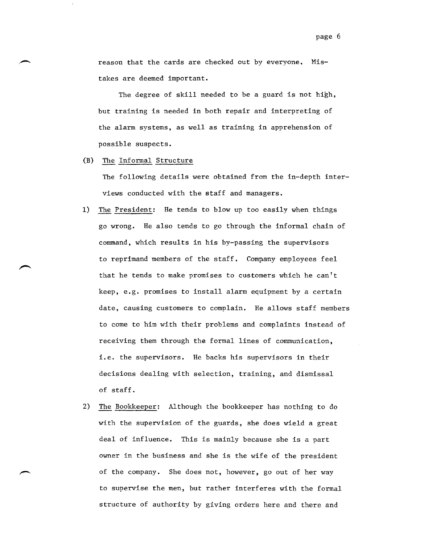reason that the cards are checked out by everyone. Mistakes are deemed important.

The degree of skill needed to be a guard is not high, but training is needed in both repair and interpreting of the alarm systems, as well as training in apprehension of possible suspects.

(B) The Informal Structure

.-

The following details were obtained from the in-depth interviews conducted with the staff and managers.

- 1) The President: He tends to blow up too easily when things go wrong. He also tends to go through the informal chain of command, which results in his by-passing the supervisors to reprimand members of the staff. Company employees feel that he tends to make promises to customers which he can't keep, e.g. promises to install alarm equipment by a certain date, causing customers to complain. He allows staff members to come to him with their problems and complaints instead of receiving them through the formal lines of communication, i.e. the supervisors. He backs his supervisors in their decisions dealing with selection, training, and dismissal of staff.
- 2) The Bookkeeper: Although the bookkeeper has nothing to do with the supervision of the guards, she does wield a great deal of influence. This is mainly because she is a part owner in the business and she is the wife of the president of the company. She does not, however, go out of her way to supervise the men, but rather interferes with the formal structure of authority by giving orders here and there and

page 6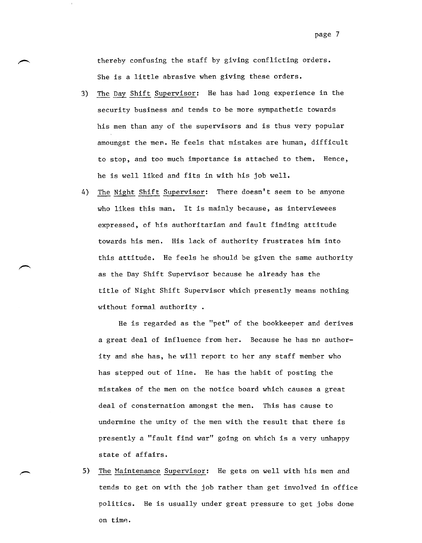thereby confusing the staff by giving conflicting orders. She is a little abrasive when giving these orders.

- 3) The Day Shift Supervisor: He has had long experience in the security business and tends to be more sympathetic towards his men than any of the supervisors and is thus very popular amoungst the men. He feels that mistakes are human, difficult to stop, and too much importance is attached to them. Hence, he is well liked and fits in with his job well.
- 4) The Night Shift Supervisor: There doesn't seem to be anyone who likes this man. It is mainly because, as interviewees expressed, of his authoritarian and fault finding attitude towards his men. His lack of authority frustrates him into this attitude. He feels he should be given the same authority as the Day Shift Supervisor because he already has the title of Night Shift Supervisor which presently means nothing without formal authority.

He is regarded as the "pet" of the bookkeeper and derives a great deal of influence from her. Because he has no authority and she has, he will report to her any staff member who has stepped out of line. He has the habit of posting the mistakes of the men on the notice board which causes a great deal of consternation amongst the men. This has cause to undermine the unity of the men with the result that there is presently a "fault find war" going on which is a very unhappy state of affairs.

5) The Maintenance Supervisor: He gets on well with his men and tends to get on with the job rather than get involved in office politics. He is usually under great pressure to get jobs done on timp..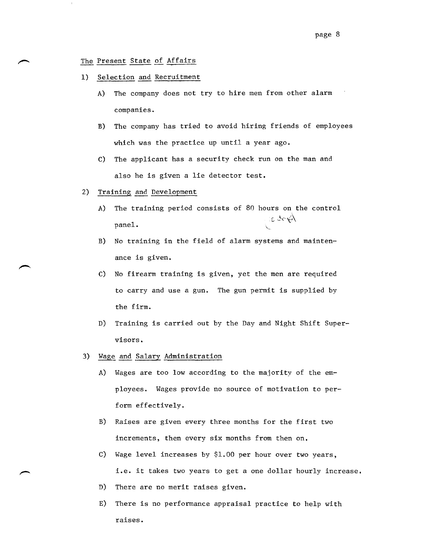# The Present State of Affairs

- 1) Selection and Recruitment
	- A) The company does not try to hire men from other alarm companies.
	- B) The company has tried to avoid hiring friends of employees which was the practice up until a year ago.
	- c) The applicant has a security check run on the man and also he is given a lie detector test.
- 2) Training and Development
	- A) The training period consists of 80 hours on the control  $\text{panel.}$
	- B) No training in the field of alarm systems and maintenance is given.
	- c) No firearm training is given, yet the men are required to carry and use a gun. The gun permit is supplied by the firm.
	- D) Training is carried out by the Day and Night Shift Supervisors.
- 3) Wage and Salary Administration
	- A) Wages are too low according to the majority of the emp1oyees. Wages provide no source of motivation to perform effectively.
	- B) Raises are given every three months for the first two increments, then every six months from then on,
	- C) Wage level increases by \$1.00 per hour over two years, i.e. it takes two years to get a one dollar hourly increase,
	- D) There are no merit raises given.
	- E) There is no performance appraisal practice to help with raises.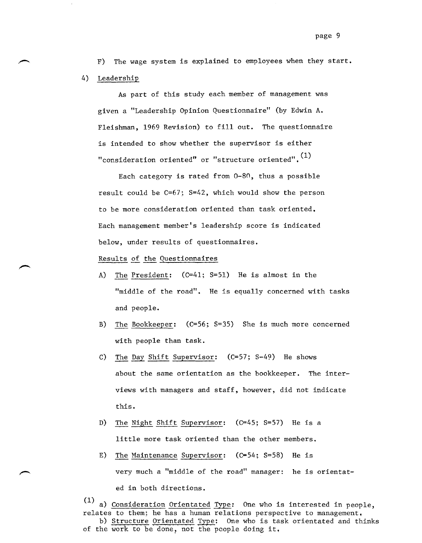F) The wage system is explained to employees when they start. 4) Leadership

As part of this study each member of management was given a "Leadership Opinion Questionnaire" (by Edwin A. Fleishman, 1969 Revision) to fill out. The questionnaire is intended to show whether the supervisor is either "consideration oriented" or "structure oriented".  $<sup>(1)</sup>$ </sup>

Each category is rated from 0-80, thus a possible result could be C=67; S=42, which would show the person to be more consideration oriented than task oriented. Each management member's leadership score is indicated below, under results of questionnaires.

# Results of the Questionnaires

- A) The President: (C=41; S=51) He is almost in the "middle of the road". He is equally concerned with tasks and people.
- B) The Bookkeeper: (C=56; S=35) She is much more concerned with people than task.
- c) The Day Shift Supervisor: (C=57; S-49) He shows about the same orientation as the bookkeeper. The interviews with managers and staff, however, did not indicate this.
- D) The Night Shift Supervisor: (C=45; S=57) He is a little more task oriented than the other members.
- E) The Maintenance Supervisor:  $(C=54; S=58)$  He is very much a "middle of the road" manager: he is orientated in both directions.

(1) a) Consideration Orientated Type: One who is interested in people, relates to them; he has a human relations perspective to management. b) Structure Orientated Type: One who is task orientated and thinks of the work to be done, not the people doing it,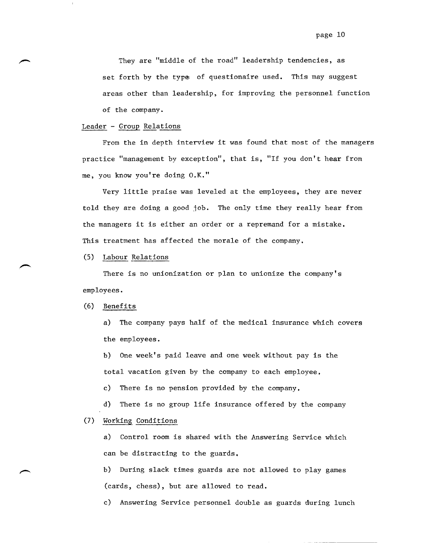They are "middle of the road" leadership tendencies, as set forth by the type of questionaire used. This may suggest areas other than leadership, for improving the personnel function of the company.

# Leader - Group Relations

From the in depth interview it was found that most of the managers practice "management by exception", that is, "If you don't hear from me, you know you're doing O.K."

Very little praise was leveled at the employees, they are never told they are doing a good job. The only time they really hear from the managers it is either an order or a repremand for a mistake. This treatment has affected the morale of the company.

#### (5) Labour Relations

There is no unionization or plan to unionize the company's employees.

#### (6) Benefits

a) The company pays half of the medical insurance which covers the employees.

b) One week's paid leave and one week without pay is the total vacation given by the company to each employee.

c) There is no pension provided by the company.

d) There is no group life insurance offered by the company

# (7) Working Conditions

a) Control room is shared with the Answering Service which can be distracting to the guards.

b) During slack times guards are not allowed to play games (cards, chess), but are allowed to read.

c) Answering Service personnel double as guards during lunch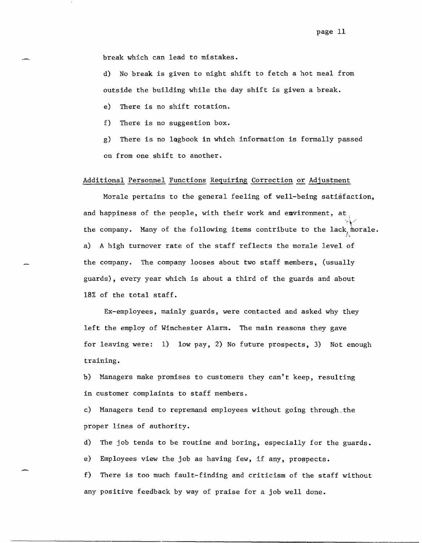break which can lead to mistakes.

d) No break is given to night shift to fetch a hot meal from outside the building while the day shift is given a break.

e) There is no shift rotation.

f) There is no suggestion box.

g) There is no lQgbook in which information is formally passed on from one shift to another.

# Additional Personnel Functions Requiring Correction or Adjustment

Morale pertains to the general feeling of well-being satisfaction, and happiness of the people, with their work and environment, at  $~\cdot$   $~\cdot$ the company. Many of the following items contribute to the lack, morale. ~ a) A high turnover rate of the staff reflects the morale level of the company. The company looses about two staff members, (usually guards), every year which is about a third of the guards and about 18% of the total staff.

Ex-employees, mainly guards, were contacted and asked why they left the employ of Winchester Alarm. The main reasons they gave for leaving were: 1) low pay, 2) No future prospects, 3) Not enough training.

b) Managers make promises to customers they can't keep, resulting in customer complaints to staff members.

c) Managers tend to repremand employees without going through\_the proper lines of authority.

d) The job tends to be routine and boring, especially for the guards. e) Employees view the job as having few, if any, prospects.

f) There is too much fault-finding and criticism of the staff without any positive feedback by way of praise for a job well done.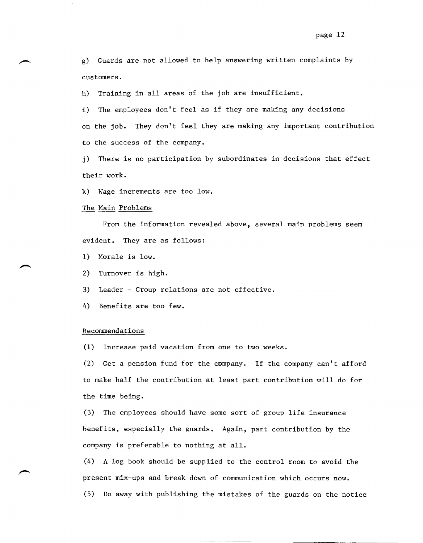g) Guards are not allowed to help answering written complaints by customers.

h) Training in all areas of the job are insufficient.

i) The employees don't feel as if they are making any decisions on the job. They don't feel they are making any important contribution to the success of the company.

j) There is no participation by subordinates in decisions that effect their work.

k) Wage increments are too low.

#### The Main Problems

From the information revealed above, several main problems seem evident. They are as follows:

- 1) Morale is low.
- 2) Turnover is high.
- 3) Leader Group relations are not effective.
- 4) Benefits are too few.

#### Recommendations

(1) Increase paid vacation from one to two weeks.

(2) Get a pension fund for the company. If the company can't afford to make half the contribution at least part contribution will do for the time being.

(3) The employees should have some sort of group life insurance benefits, especially the guards. Again, part contribution by the company is preferable to nothing at all.

(4) A log book should be supplied to the control room to avoid the present mix-ups and break down of communication which occurs now.

(5) Do away with publishing the mistakes of the guards on the notice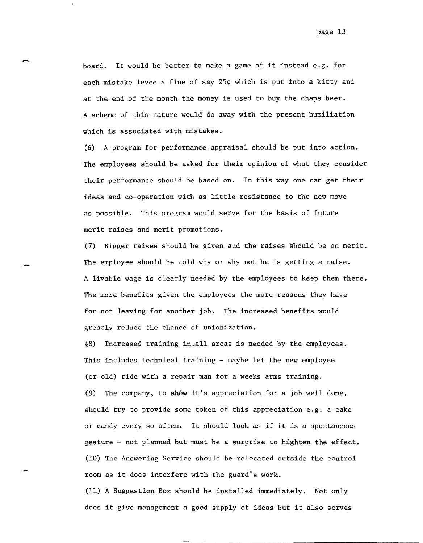board. It would be better to make a game of it instead e.g. for each mistake levee a fine of say 25¢ which is put into a kitty and at the end of the month the money is used to buy the chaps beer. A scheme of this nature would do away with the present humiliation which is associated with mistakes.

(6) A program for performance appraisal should be put into action. The employees should be asked for their opinion of what they consider their performance should be based on. In this way one can get their ideas and co-operation with as little resistance to the new move as possible. This program would serve for the basis of future merit raises and merit promotions.

(7) Bigger raises should be given and the raises should be on merit. The employee should be told why or why not he is getting a raise. A livable wage is clearly needed by the employees to keep them there. The more benefits given the employees the more reasons they have for not leaving for another job. The increased benefits would greatly reduce the chance of unionization.

,-

 $(8)$  Increased training in all areas is needed by the employees. This includes technical training - maybe let the new employee (or old) ride with a repair man for a weeks arms training. (9) The company, to shew it's appreciation for a job well done, should try to provide some token of this appreciation e.g. a cake or candy every so often. It should look as if it is a spontaneous gesture - not planned but must be a surprise to highten the effect. (10) The Answering Service should be relocated outside the control room as it does interfere with the guard's work.

(11) A Suggestion Box should be installed immediately. Not only does it give management a good supply of ideas but it also serves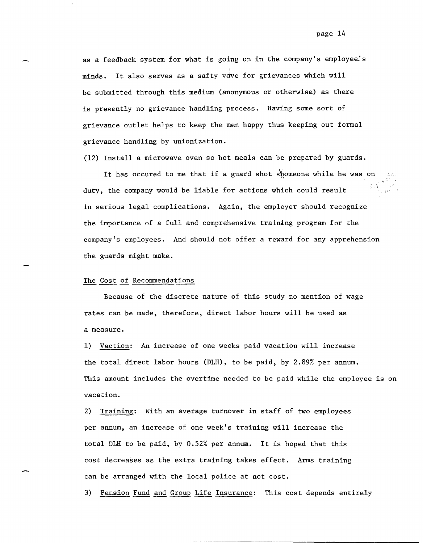as a feedback system for what is going on in the company's employee's minds. It also serves as a safty vdve for grievances which will be submitted through this medium (anonymous or otherwise) as there is presently no grievance handling process. Having some sort of grievance outlet helps to keep the men happy thus keeping out formal grievance handling by unionization.

(12) Install a microwave oven so hot meals can be prepared by guards.

It has occured to me that if a guard shot shomeone while he was on duty, the company would be liable for actions which could result in serious legal complications. Again, the employer should recognize the importance of a full and comprehensive training program for the company's employees. And should not offer a reward for any apprehension the guards might make.

#### The Cost of Recommendations

Because of the discrete nature of this study no mention of wage rates can be made, therefore, direct labor hours will be used as a measure.

1) Vaction: An increase of one weeks paid vacation will increase the total direct labor hours (DLH), to be paid, by 2.89% per annum. This amount includes the overtime needed to be paid while the employee is on vacation.

2) Training: With an average turnover in staff of two employees per annum, an increase of one week's training will increase the total DLH to be paid, by 0.52% per annum. It is hoped that this cost decreases as the extra training takes effect. Arms training can be arranged with the local police at not cost.

3) Pension Fund and Group Life Insurance: This cost depends entirely